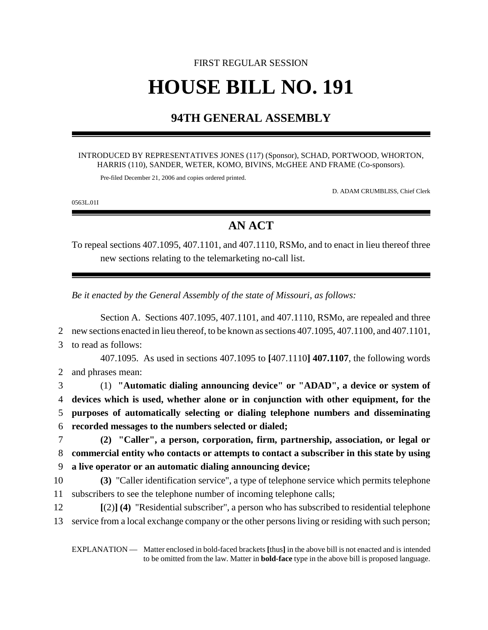# FIRST REGULAR SESSION **HOUSE BILL NO. 191**

### **94TH GENERAL ASSEMBLY**

#### INTRODUCED BY REPRESENTATIVES JONES (117) (Sponsor), SCHAD, PORTWOOD, WHORTON, HARRIS (110), SANDER, WETER, KOMO, BIVINS, McGHEE AND FRAME (Co-sponsors).

Pre-filed December 21, 2006 and copies ordered printed.

D. ADAM CRUMBLISS, Chief Clerk

0563L.01I

## **AN ACT**

To repeal sections 407.1095, 407.1101, and 407.1110, RSMo, and to enact in lieu thereof three new sections relating to the telemarketing no-call list.

*Be it enacted by the General Assembly of the state of Missouri, as follows:*

Section A. Sections 407.1095, 407.1101, and 407.1110, RSMo, are repealed and three new sections enacted in lieu thereof, to be known as sections 407.1095, 407.1100, and 407.1101, to read as follows: 407.1095. As used in sections 407.1095 to **[**407.1110**] 407.1107**, the following words and phrases mean: (1) **"Automatic dialing announcing device" or "ADAD", a device or system of devices which is used, whether alone or in conjunction with other equipment, for the purposes of automatically selecting or dialing telephone numbers and disseminating recorded messages to the numbers selected or dialed; (2) "Caller", a person, corporation, firm, partnership, association, or legal or commercial entity who contacts or attempts to contact a subscriber in this state by using a live operator or an automatic dialing announcing device; (3)** "Caller identification service", a type of telephone service which permits telephone subscribers to see the telephone number of incoming telephone calls; **[**(2)**] (4)** "Residential subscriber", a person who has subscribed to residential telephone service from a local exchange company or the other persons living or residing with such person;

EXPLANATION — Matter enclosed in bold-faced brackets **[**thus**]** in the above bill is not enacted and is intended to be omitted from the law. Matter in **bold-face** type in the above bill is proposed language.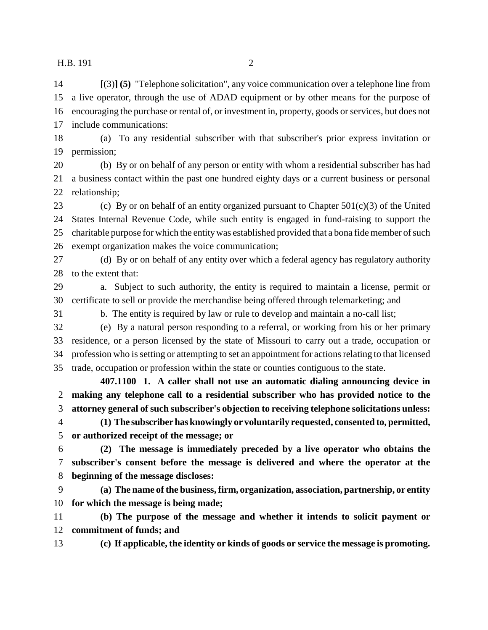H.B. 191 2

 **[**(3)**] (5)** "Telephone solicitation", any voice communication over a telephone line from a live operator, through the use of ADAD equipment or by other means for the purpose of encouraging the purchase or rental of, or investment in, property, goods or services, but does not include communications:

 (a) To any residential subscriber with that subscriber's prior express invitation or permission;

 (b) By or on behalf of any person or entity with whom a residential subscriber has had a business contact within the past one hundred eighty days or a current business or personal relationship;

23 (c) By or on behalf of an entity organized pursuant to Chapter  $501(c)(3)$  of the United States Internal Revenue Code, while such entity is engaged in fund-raising to support the charitable purpose for which the entity was established provided that a bona fide member of such exempt organization makes the voice communication;

 (d) By or on behalf of any entity over which a federal agency has regulatory authority 28 to the extent that:

 a. Subject to such authority, the entity is required to maintain a license, permit or certificate to sell or provide the merchandise being offered through telemarketing; and

b. The entity is required by law or rule to develop and maintain a no-call list;

 (e) By a natural person responding to a referral, or working from his or her primary residence, or a person licensed by the state of Missouri to carry out a trade, occupation or profession who is setting or attempting to set an appointment for actions relating to that licensed trade, occupation or profession within the state or counties contiguous to the state.

**407.1100 1. A caller shall not use an automatic dialing announcing device in making any telephone call to a residential subscriber who has provided notice to the attorney general of such subscriber's objection to receiving telephone solicitations unless:**

 **(1) The subscriber has knowingly or voluntarily requested, consented to, permitted, or authorized receipt of the message; or**

 **(2) The message is immediately preceded by a live operator who obtains the subscriber's consent before the message is delivered and where the operator at the beginning of the message discloses:**

 **(a) The name of the business, firm, organization, association, partnership, or entity for which the message is being made;**

 **(b) The purpose of the message and whether it intends to solicit payment or commitment of funds; and**

**(c) If applicable, the identity or kinds of goods or service the message is promoting.**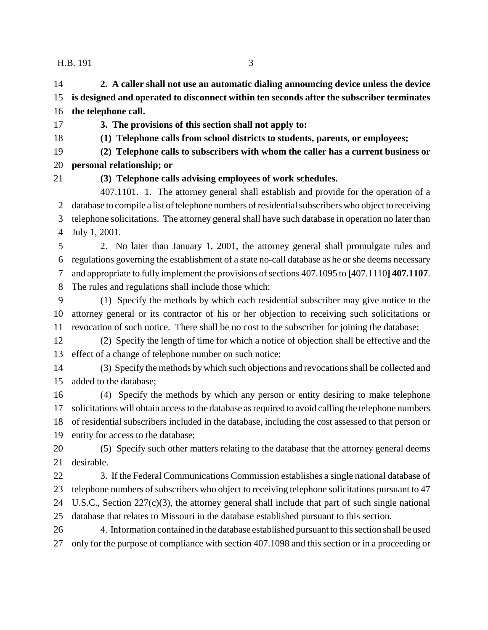H.B. 191 3

 **2. A caller shall not use an automatic dialing announcing device unless the device is designed and operated to disconnect within ten seconds after the subscriber terminates the telephone call.**

- **3. The provisions of this section shall not apply to:**
- 

**(1) Telephone calls from school districts to students, parents, or employees;**

 **(2) Telephone calls to subscribers with whom the caller has a current business or personal relationship; or**

### **(3) Telephone calls advising employees of work schedules.**

407.1101. 1. The attorney general shall establish and provide for the operation of a database to compile a list of telephone numbers of residential subscribers who object to receiving telephone solicitations. The attorney general shall have such database in operation no later than July 1, 2001.

 2. No later than January 1, 2001, the attorney general shall promulgate rules and regulations governing the establishment of a state no-call database as he or she deems necessary and appropriate to fully implement the provisions of sections 407.1095 to **[**407.1110**] 407.1107**. The rules and regulations shall include those which:

 (1) Specify the methods by which each residential subscriber may give notice to the attorney general or its contractor of his or her objection to receiving such solicitations or revocation of such notice. There shall be no cost to the subscriber for joining the database;

 (2) Specify the length of time for which a notice of objection shall be effective and the effect of a change of telephone number on such notice;

 (3) Specify the methods by which such objections and revocations shall be collected and added to the database;

 (4) Specify the methods by which any person or entity desiring to make telephone solicitations will obtain access to the database as required to avoid calling the telephone numbers of residential subscribers included in the database, including the cost assessed to that person or entity for access to the database;

 (5) Specify such other matters relating to the database that the attorney general deems desirable.

 3. If the Federal Communications Commission establishes a single national database of telephone numbers of subscribers who object to receiving telephone solicitations pursuant to 47 U.S.C., Section 227(c)(3), the attorney general shall include that part of such single national database that relates to Missouri in the database established pursuant to this section.

 4. Information contained in the database established pursuant to this section shall be used only for the purpose of compliance with section 407.1098 and this section or in a proceeding or